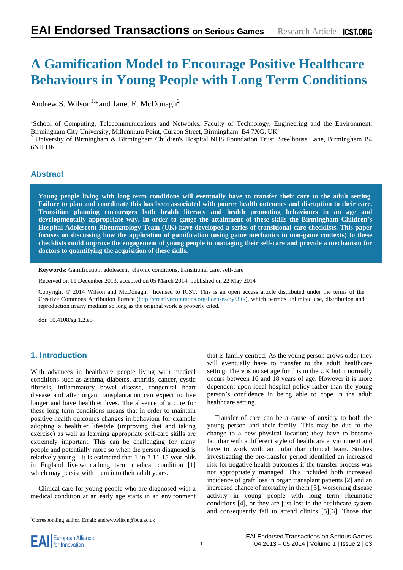# **A Gamification Model to Encourage Positive Healthcare Behaviours in Young People with Long Term Conditions**

Andrew S. Wilson<sup>1,\*</sup>and Janet E. McDonagh<sup>2</sup>

<sup>1</sup>School of Computing, Telecommunications and Networks. Faculty of Technology, Engineering and the Environment. Birmingham City University, Millennium Point, Curzon Street, Birmingham. B4 7XG. UK 2  $2$  University of Birmingham & Birmingham Children's Hospital NHS Foundation Trust. Steelhouse Lane, Birmingham B4 6NH UK.

# **Abstract**

**Young people living with long term conditions will eventually have to transfer their care to the adult setting. Failure to plan and coordinate this has been associated with poorer health outcomes and disruption to their care. Transition planning encourages both health literacy and health promoting behaviours in an age and developmentally appropriate way. In order to gauge the attainment of these skills the Birmingham Children's Hospital Adolescent Rheumatology Team (UK) have developed a series of transitional care checklists. This paper focuses on discussing how the application of gamification (using game mechanics in non-game contexts) to these checklists could improve the engagement of young people in managing their self-care and provide a mechanism for doctors to quantifying the acquisition of these skills.** 

**Keywords:** Gamification, adolescent, chronic conditions, transitional care, self-care

Received on 11 December 2013, accepted on 05 March 2014, published on 22 May 2014

Copyright © 2014 Wilson and McDonagh, licensed to ICST. This is an open access article distributed under the terms of the Creative Commons Attribution licence (http://creativecommons.org/licenses/by/3.0/), which permits unlimited use, distribution and reproduction in any medium so long as the original work is properly cited.

doi: 10.4108/sg.1.2.e3

# **1. Introduction**

With advances in healthcare people living with medical conditions such as asthma, diabetes, arthritis, cancer, cystic fibrosis, inflammatory bowel disease, congenital heart disease and after organ transplantation can expect to live longer and have healthier lives. The absence of a cure for these long term conditions means that in order to maintain positive health outcomes changes in behaviour for example adopting a healthier lifestyle (improving diet and taking exercise) as well as learning appropriate self-care skills are extremely important. This can be challenging for many people and potentially more so when the person diagnosed is relatively young. It is estimated that 1 in 7 11-15 year olds in England live with a long term medical condition [1] which may persist with them into their adult years.

Clinical care for young people who are diagnosed with a medical condition at an early age starts in an environment that is family centred. As the young person grows older they will eventually have to transfer to the adult healthcare setting. There is no set age for this in the UK but it normally occurs between 16 and 18 years of age. However it is more dependent upon local hospital policy rather than the young person's confidence in being able to cope in the adult healthcare setting.

Transfer of care can be a cause of anxiety to both the young person and their family. This may be due to the change to a new physical location; they have to become familiar with a different style of healthcare environment and have to work with an unfamiliar clinical team. Studies investigating the pre-transfer period identified an increased risk for negative health outcomes if the transfer process was not appropriately managed. This included both increased incidence of graft loss in organ transplant patients [2] and an increased chance of mortality in them [3], worsening disease activity in young people with long term rheumatic conditions [4], or they are just lost in the healthcare system and consequently fail to attend clinics [5][6]. Those that

<sup>\*</sup> Corresponding author. Email: andrew.wilson@bcu.ac.uk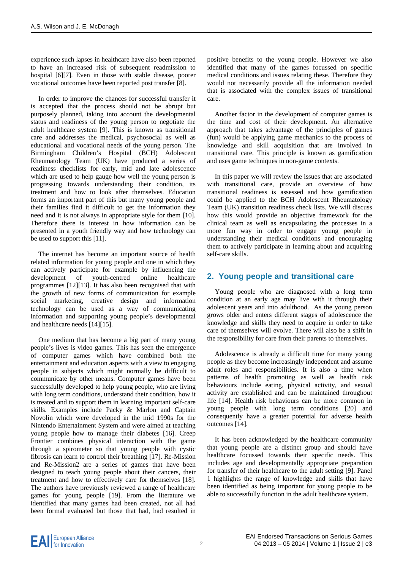experience such lapses in healthcare have also been reported to have an increased risk of subsequent readmission to hospital [6][7]. Even in those with stable disease, poorer vocational outcomes have been reported post transfer [8].

In order to improve the chances for successful transfer it is accepted that the process should not be abrupt but purposely planned, taking into account the developmental status and readiness of the young person to negotiate the adult healthcare system [9]. This is known as transitional care and addresses the medical, psychosocial as well as educational and vocational needs of the young person. The Birmingham Children's Hospital (BCH) Adolescent Rheumatology Team (UK) have produced a series of readiness checklists for early, mid and late adolescence which are used to help gauge how well the young person is progressing towards understanding their condition, its treatment and how to look after themselves. Education forms an important part of this but many young people and their families find it difficult to get the information they need and it is not always in appropriate style for them [10]. Therefore there is interest in how information can be presented in a youth friendly way and how technology can be used to support this [11].

The internet has become an important source of health related information for young people and one in which they can actively participate for example by influencing the development of youth-centred online healthcare programmes [12][13]. It has also been recognised that with the growth of new forms of communication for example social marketing, creative design and information technology can be used as a way of communicating information and supporting young people's developmental and healthcare needs [14][15].

One medium that has become a big part of many young people's lives is video games. This has seen the emergence of computer games which have combined both the entertainment and education aspects with a view to engaging people in subjects which might normally be difficult to communicate by other means. Computer games have been successfully developed to help young people, who are living with long term conditions, understand their condition, how it is treated and to support them in learning important self-care skills. Examples include Packy & Marlon and Captain Novolin which were developed in the mid 1990s for the Nintendo Entertainment System and were aimed at teaching young people how to manage their diabetes [16]. Creep Frontier combines physical interaction with the game through a spirometer so that young people with cystic fibrosis can learn to control their breathing [17]. Re-Mission and Re-Mission2 are a series of games that have been designed to teach young people about their cancers, their treatment and how to effectively care for themselves [18]. The authors have previously reviewed a range of healthcare games for young people [19]. From the literature we identified that many games had been created, not all had been formal evaluated but those that had, had resulted in

positive benefits to the young people. However we also identified that many of the games focussed on specific medical conditions and issues relating these. Therefore they would not necessarily provide all the information needed that is associated with the complex issues of transitional care.

Another factor in the development of computer games is the time and cost of their development. An alternative approach that takes advantage of the principles of games (fun) would be applying game mechanics to the process of knowledge and skill acquisition that are involved in transitional care. This principle is known as gamification and uses game techniques in non-game contexts.

In this paper we will review the issues that are associated with transitional care, provide an overview of how transitional readiness is assessed and how gamification could be applied to the BCH Adolescent Rheumatology Team (UK) transition readiness check lists. We will discuss how this would provide an objective framework for the clinical team as well as encapsulating the processes in a more fun way in order to engage young people in understanding their medical conditions and encouraging them to actively participate in learning about and acquiring self-care skills.

# **2. Young people and transitional care**

Young people who are diagnosed with a long term condition at an early age may live with it through their adolescent years and into adulthood. As the young person grows older and enters different stages of adolescence the knowledge and skills they need to acquire in order to take care of themselves will evolve. There will also be a shift in the responsibility for care from their parents to themselves.

Adolescence is already a difficult time for many young people as they become increasingly independent and assume adult roles and responsibilities. It is also a time when patterns of health promoting as well as health risk behaviours include eating, physical activity, and sexual activity are established and can be maintained throughout life [14]. Health risk behaviours can be more common in young people with long term conditions [20] and consequently have a greater potential for adverse health outcomes [14].

It has been acknowledged by the healthcare community that young people are a distinct group and should have healthcare focussed towards their specific needs. This includes age and developmentally appropriate preparation for transfer of their healthcare to the adult setting [9]. Panel 1 highlights the range of knowledge and skills that have been identified as being important for young people to be able to successfully function in the adult healthcare system.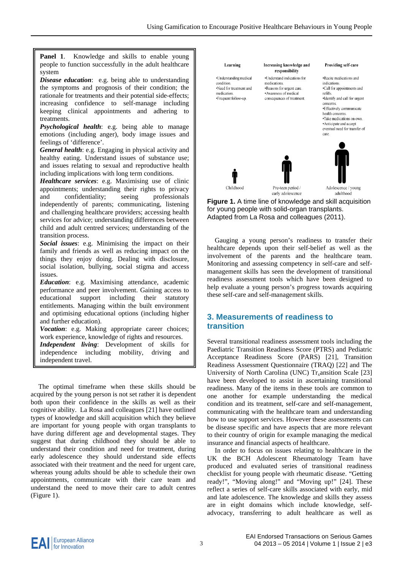Panel 1. Knowledge and skills to enable young people to function successfully in the adult healthcare system

*Disease education*: e.g. being able to understanding the symptoms and prognosis of their condition; the rationale for treatments and their potential side-effects; increasing confidence to self-manage including keeping clinical appointments and adhering to treatments.

*Psychological health*: e.g. being able to manage emotions (including anger), body image issues and feelings of 'difference'.

*General health*: e.g. Engaging in physical activity and healthy eating. Understand issues of substance use; and issues relating to sexual and reproductive health including implications with long term conditions.

*Healthcare services*: e.g. Maximising use of clinic appointments; understanding their rights to privacy and confidentiality; seeing professionals independently of parents; communicating, listening and challenging healthcare providers; accessing health services for advice; understanding differences between child and adult centred services; understanding of the transition process.

*Social issues*: e.g. Minimising the impact on their family and friends as well as reducing impact on the things they enjoy doing. Dealing with disclosure, social isolation, bullying, social stigma and access issues.

. *Education*: e.g. Maximising attendance, academic performance and peer involvement. Gaining access to educational support including their statutory entitlements. Managing within the built environment and optimising educational options (including higher and further education).

*Vocation*: e.g. Making appropriate career choices; work experience, knowledge of rights and resources.

*Independent living*: Development of skills for independence including mobility, driving and independent travel.

The optimal timeframe when these skills should be acquired by the young person is not set rather it is dependent both upon their confidence in the skills as well as their cognitive ability. La Rosa and colleagues [21] have outlined types of knowledge and skill acquisition which they believe are important for young people with organ transplants to have during different age and developmental stages. They suggest that during childhood they should be able to understand their condition and need for treatment, during early adolescence they should understand side effects associated with their treatment and the need for urgent care, whereas young adults should be able to schedule their own appointments, communicate with their care team and understand the need to move their care to adult centres (Figure 1).



**Figure 1.** A time line of knowledge and skill acquisition for young people with solid-organ transplants. Adapted from La Rosa and colleagues (2011).

Gauging a young person's readiness to transfer their healthcare depends upon their self-belief as well as the involvement of the parents and the healthcare team. Monitoring and assessing competency in self-care and selfmanagement skills has seen the development of transitional readiness assessment tools which have been designed to help evaluate a young person's progress towards acquiring these self-care and self-management skills.

# **3. Measurements of readiness to transition**

Several transitional readiness assessment tools including the Paediatric Transition Readiness Score (PTRS) and Pediatric Acceptance Readiness Score (PARS) [21], Transition Readiness Assessment Questionnaire (TRAQ) [22] and The University of North Carolina (UNC)  $Tr<sub>x</sub>$  ansition Scale [23] have been developed to assist in ascertaining transitional readiness. Many of the items in these tools are common to one another for example understanding the medical condition and its treatment, self-care and self-management, communicating with the healthcare team and understanding how to use support services. However these assessments can be disease specific and have aspects that are more relevant to their country of origin for example managing the medical insurance and financial aspects of healthcare.

In order to focus on issues relating to healthcare in the UK the BCH Adolescent Rheumatology Team have produced and evaluated series of transitional readiness checklist for young people with rheumatic disease. "Getting ready!", "Moving along!" and "Moving up!" [24]. These reflect a series of self-care skills associated with early, mid and late adolescence. The knowledge and skills they assess are in eight domains which include knowledge, selfadvocacy, transferring to adult healthcare as well as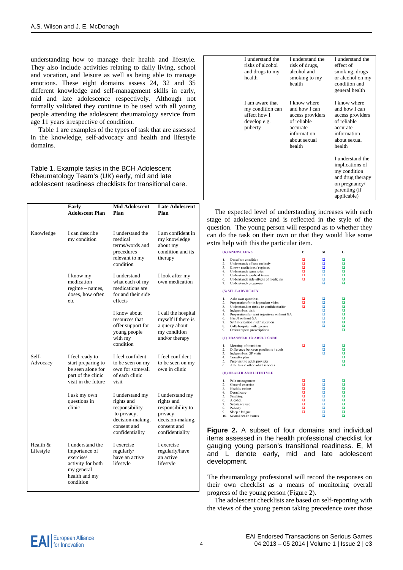understanding how to manage their health and lifestyle. They also include activities relating to daily living, school and vocation, and leisure as well as being able to manage emotions. These eight domains assess 24, 32 and 35 different knowledge and self-management skills in early, mid and late adolescence respectively. Although not formally validated they continue to be used with all young people attending the adolescent rheumatology service from age 11 years irrespective of condition.

Table 1 are examples of the types of task that are assessed in the knowledge, self-advocacy and health and lifestyle domains.

Table 1. Example tasks in the BCH Adolescent Rheumatology Team's (UK) early, mid and late adolescent readiness checklists for transitional care.

|                       | Early<br><b>Adolescent Plan</b>                                                                                 | <b>Mid Adolescent</b><br>Plan                                                                                        | <b>Late Adolescent</b><br>Plan                                                                                       |
|-----------------------|-----------------------------------------------------------------------------------------------------------------|----------------------------------------------------------------------------------------------------------------------|----------------------------------------------------------------------------------------------------------------------|
| Knowledge             | I can describe<br>my condition                                                                                  | I understand the<br>medical<br>terms/words and<br>procedures<br>relevant to my<br>condition                          | I am confident in<br>my knowledge<br>about my<br>condition and its<br>therapy                                        |
|                       | I know my<br>medication<br>regime – names,<br>doses, how often<br>etc                                           | I understand<br>what each of my<br>medications are<br>for and their side<br>effects                                  | I look after my<br>own medication                                                                                    |
|                       |                                                                                                                 | I know about<br>resources that<br>offer support for<br>young people<br>with my<br>condition                          | I call the hospital<br>myself if there is<br>a query about<br>my condition<br>and/or therapy                         |
| Self-<br>Advocacy     | I feel ready to<br>start preparing to<br>be seen alone for<br>part of the clinic<br>visit in the future         | I feel confident<br>to be seen on my<br>own for some/all<br>of each clinic<br>visit                                  | I feel confident<br>to be seen on my<br>own in clinic                                                                |
|                       | I ask my own<br>questions in<br>clinic                                                                          | I understand my<br>rights and<br>responsibility<br>to privacy,<br>decision-making,<br>consent and<br>confidentiality | I understand my<br>rights and<br>responsibility to<br>privacy,<br>decision-making,<br>consent and<br>confidentiality |
| Health &<br>Lifestyle | I understand the<br>importance of<br>exercise/<br>activity for both<br>my general<br>health and my<br>condition | I exercise<br>regularly/<br>have an active<br>lifestyle                                                              | I exercise<br>regularly/have<br>an active<br>lifestyle                                                               |

| I understand the<br>risks of alcohol<br>and drugs to my<br>health              | I understand the<br>risk of drugs,<br>alcohol and<br>smoking to my<br>health                                          | I understand the<br>effect of<br>smoking, drugs<br>or alcohol on my<br>condition and<br>general health                   |
|--------------------------------------------------------------------------------|-----------------------------------------------------------------------------------------------------------------------|--------------------------------------------------------------------------------------------------------------------------|
| I am aware that<br>my condition can<br>affect how I<br>develop e.g.<br>puberty | I know where<br>and how I can<br>access providers<br>of reliable<br>accurate<br>information<br>about sexual<br>health | I know where<br>and how I can<br>access providers<br>of reliable<br>accurate<br>information<br>about sexual<br>health    |
|                                                                                |                                                                                                                       | I understand the<br>implications of<br>my condition<br>and drug therapy<br>on pregnancy/<br>parenting (if<br>applicable) |

The expected level of understanding increases with each stage of adolescence and is reflected in the style of the question. The young person will respond as to whether they can do the task on their own or that they would like some extra help with this the particular item.

| (K) KNOWLEDGE                                                                                                                                                                                                                                                                                                                                                      | E                     | M                                                                            | L                               |
|--------------------------------------------------------------------------------------------------------------------------------------------------------------------------------------------------------------------------------------------------------------------------------------------------------------------------------------------------------------------|-----------------------|------------------------------------------------------------------------------|---------------------------------|
| $\mathbf{L}$<br>Describes condition<br>$\overline{2}$ .<br>Understands effects on body<br>3.<br>Knows medicines / regimes<br>4.<br>Understands team roles<br>5.<br>Understands medical terms<br>6.<br>Understands side effects of medicine<br>7.<br>Understands prognosis                                                                                          | o<br>Q<br>ă<br>$\Box$ | α<br>$\Box$<br>ō<br>ö<br>o<br>$\Box$<br>$\Box$                               | α<br>α<br>ο<br>o<br>Δ<br>Q<br>ö |
| (S) SELF-ADVOCACY                                                                                                                                                                                                                                                                                                                                                  |                       |                                                                              |                                 |
| 1.<br>Asks own questions<br>$\overline{2}$ .<br>Preparation for independent visits<br>3.<br>Understanding rights to confidentiality<br>4.<br>Independent visit<br>5.<br>Preparation for joint injections without GA<br>Has JI without GA<br>6.<br>7.<br>Self medication / self injection<br>8.<br>Calls hospital with queries<br>9.<br>Orders repeat prescriptions | ö<br>n                | ם<br>۵<br>Φ<br>ö<br>o<br>$\Box$<br>$\Box$<br>$\Box$                          | ۰<br>Ξ<br>88<br>ō<br>ο<br>o     |
| (T) TRANSFER TO ADULT CARE                                                                                                                                                                                                                                                                                                                                         |                       |                                                                              |                                 |
| 1.<br>Meaning of transition<br>$\overline{2}$ .<br>Difference between paediatric / adult<br>3.<br><b>Independent GP visits</b><br>4.<br>Transfer plan<br>5.<br>Prep visit to adult provider<br>Able to use other adult services<br>6.                                                                                                                              | ▭                     | о<br>$\Box$<br>$\Box$                                                        | O<br>o<br>ō<br>ο<br>Ξ           |
| (H) HEALTH AND LIFESTYLE                                                                                                                                                                                                                                                                                                                                           |                       |                                                                              |                                 |
| 1.<br>Pain management<br>2.<br>General exercise<br>3.<br>Healthy eating<br>4.<br>Dental care<br>5.<br>Smoking<br>6.<br>Alcohol<br>7.<br>Substance use<br>8.<br>Puberty<br>9.<br>Sleep / fatigue<br>Sexual health issues<br>10.                                                                                                                                     | ö<br>0000000          | ם<br>▭<br>o<br>Δ<br>$\Box$<br>$\Box$<br>$\Box$<br>$\Box$<br>$\Box$<br>$\Box$ | □<br>α<br>88<br>ō<br>ο<br>ö     |

**Figure 2.** A subset of four domains and individual items assessed in the health professional checklist for gauging young person's transitional readiness. E, M and L denote early, mid and late adolescent development.

The rheumatology professional will record the responses on their own checklist as a means of monitoring overall progress of the young person (Figure 2).

The adolescent checklists are based on self-reporting with the views of the young person taking precedence over those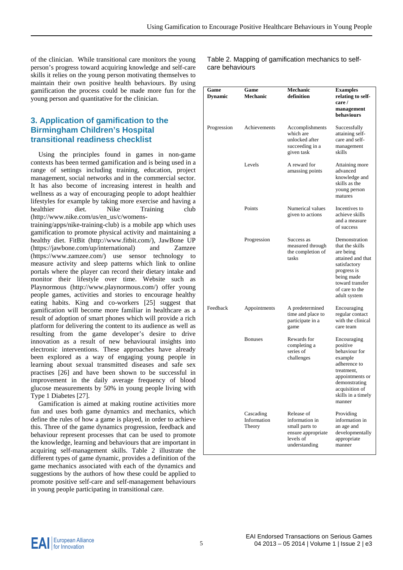of the clinician. While transitional care monitors the young person's progress toward acquiring knowledge and self-care skills it relies on the young person motivating themselves to maintain their own positive health behaviours. By using gamification the process could be made more fun for the young person and quantitative for the clinician.

# **3. Application of gamification to the Birmingham Children's Hospital transitional readiness checklist**

Using the principles found in games in non-game contexts has been termed gamification and is being used in a range of settings including training, education, project management, social networks and in the commercial sector. It has also become of increasing interest in health and wellness as a way of encouraging people to adopt healthier lifestyles for example by taking more exercise and having a healthier diet. Nike Training club (http://www.nike.com/us/en\_us/c/womens-

training/apps/nike-training-club) is a mobile app which uses gamification to promote physical activity and maintaining a healthy diet. FitBit (http://www.fitbit.com/), JawBone UP (https://jawbone.com/up/international) and Zamzee (https://www.zamzee.com/) use sensor technology to measure activity and sleep patterns which link to online portals where the player can record their dietary intake and monitor their lifestyle over time. Website such as Playnormous (http://www.playnormous.com/) offer young people games, activities and stories to encourage healthy eating habits. King and co-workers [25] suggest that gamification will become more familiar in healthcare as a result of adoption of smart phones which will provide a rich platform for delivering the content to its audience as well as resulting from the game developer's desire to drive innovation as a result of new behavioural insights into electronic interventions. These approaches have already been explored as a way of engaging young people in learning about sexual transmitted diseases and safe sex practises [26] and have been shown to be successful in improvement in the daily average frequency of blood glucose measurements by 50% in young people living with Type 1 Diabetes [27].

Gamification is aimed at making routine activities more fun and uses both game dynamics and mechanics, which define the rules of how a game is played, in order to achieve this. Three of the game dynamics progression, feedback and behaviour represent processes that can be used to promote the knowledge, learning and behaviours that are important in acquiring self-management skills. Table 2 illustrate the different types of game dynamic, provides a definition of the game mechanics associated with each of the dynamics and suggestions by the authors of how these could be applied to promote positive self-care and self-management behaviours in young people participating in transitional care.

Table 2. Mapping of gamification mechanics to selfcare behaviours

| Game<br><b>Dynamic</b> | Game<br>Mechanic                   | Mechanic<br>definition                                                                             | <b>Examples</b><br>relating to self-<br>care /<br>management<br>behaviours                                                                                              |
|------------------------|------------------------------------|----------------------------------------------------------------------------------------------------|-------------------------------------------------------------------------------------------------------------------------------------------------------------------------|
| Progression            | Achievements                       | Accomplishments<br>which are<br>unlocked after<br>succeeding in a<br>given task                    | Successfully<br>attaining self-<br>care and self-<br>management<br>skills                                                                                               |
|                        | Levels                             | A reward for<br>amassing points                                                                    | Attaining more<br>advanced<br>knowledge and<br>skills as the<br>young person<br>matures                                                                                 |
|                        | Points                             | Numerical values<br>given to actions                                                               | Incentives to<br>achieve skills<br>and a measure<br>of success                                                                                                          |
|                        | Progression                        | Success as<br>measured through<br>the completion of<br>tasks                                       | Demonstration<br>that the skills<br>are being<br>attained and that<br>satisfactory<br>progress is<br>being made<br>toward transfer<br>of care to the<br>adult system    |
| Feedback               | Appointments                       | A predetermined<br>time and place to<br>participate in a<br>game                                   | Encouraging<br>regular contact<br>with the clinical<br>care team                                                                                                        |
|                        | <b>Bonuses</b>                     | Rewards for<br>completing a<br>series of<br>challenges                                             | Encouraging<br>positive<br>behaviour for<br>example<br>adherence to<br>treatment,<br>appointments or<br>demonstrating<br>acquisition of<br>skills in a timely<br>manner |
|                        | Cascading<br>Information<br>Theory | Release of<br>information in<br>small parts to<br>ensure appropriate<br>levels of<br>understanding | Providing<br>information in<br>an age and<br>developmentally<br>appropriate<br>manner                                                                                   |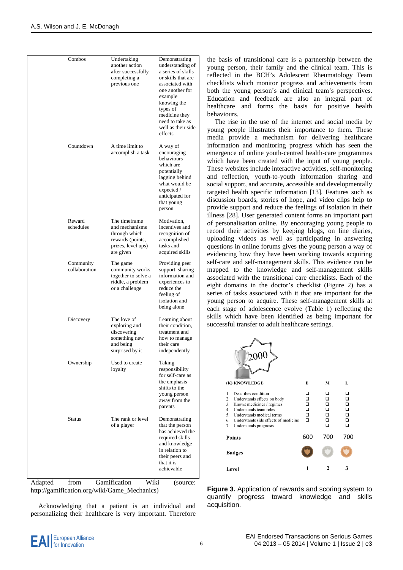|         | Combos<br>Countdown        | Undertaking<br>another action<br>after successfully<br>completing a<br>previous one<br>A time limit to<br>accomplish a task | Demonstrating<br>understanding of<br>a series of skills<br>or skills that are<br>associated with<br>one another for<br>example<br>knowing the<br>types of<br>medicine they<br>need to take as<br>well as their side<br>effects<br>A way of<br>encouraging<br>behaviours<br>which are |
|---------|----------------------------|-----------------------------------------------------------------------------------------------------------------------------|--------------------------------------------------------------------------------------------------------------------------------------------------------------------------------------------------------------------------------------------------------------------------------------|
|         |                            |                                                                                                                             | potentially<br>lagging behind<br>what would be<br>expected /<br>anticipated for<br>that young<br>person                                                                                                                                                                              |
|         | Reward<br>schedules        | The timeframe<br>and mechanisms<br>through which<br>rewards (points,<br>prizes, level ups)<br>are given                     | Motivation,<br>incentives and<br>recognition of<br>accomplished<br>tasks and<br>acquired skills                                                                                                                                                                                      |
|         | Community<br>collaboration | The game<br>community works<br>together to solve a<br>riddle, a problem<br>or a challenge                                   | Providing peer<br>support, sharing<br>information and<br>experiences to<br>reduce the<br>feeling of<br>isolation and<br>being alone                                                                                                                                                  |
|         | Discovery                  | The love of<br>exploring and<br>discovering<br>something new<br>and being<br>surprised by it                                | Learning about<br>their condition.<br>treatment and<br>how to manage<br>their care<br>independently                                                                                                                                                                                  |
|         | Ownership                  | Used to create<br>loyalty                                                                                                   | Taking<br>responsibility<br>for self-care as<br>the emphasis<br>shifts to the<br>young person<br>away from the<br>parents                                                                                                                                                            |
|         | <b>Status</b>              | The rank or level<br>of a player                                                                                            | Demonstrating<br>that the person<br>has achieved the<br>required skills<br>and knowledge<br>in relation to<br>their peers and<br>that it is<br>achievable                                                                                                                            |
| Adanted | from                       | Gamification<br>Wiki                                                                                                        | $\int$ source:                                                                                                                                                                                                                                                                       |

Adapted from Gamification Wiki (source: http://gamification.org/wiki/Game\_Mechanics)

Acknowledging that a patient is an individual and personalizing their healthcare is very important. Therefore

the basis of transitional care is a partnership between the young person, their family and the clinical team. This is reflected in the BCH's Adolescent Rheumatology Team checklists which monitor progress and achievements from both the young person's and clinical team's perspectives. Education and feedback are also an integral part of healthcare and forms the basis for positive health behaviours.

The rise in the use of the internet and social media by young people illustrates their importance to them. These media provide a mechanism for delivering healthcare information and monitoring progress which has seen the emergence of online youth-centred health-care programmes which have been created with the input of young people. These websites include interactive activities, self-monitoring and reflection, youth-to-youth information sharing and social support, and accurate, accessible and developmentally targeted health specific information [13]. Features such as discussion boards, stories of hope, and video clips help to provide support and reduce the feelings of isolation in their illness [28]. User generated content forms an important part of personalisation online. By encouraging young people to record their activities by keeping blogs, on line diaries, uploading videos as well as participating in answering questions in online forums gives the young person a way of evidencing how they have been working towards acquiring self-care and self-management skills. This evidence can be mapped to the knowledge and self-management skills associated with the transitional care checklists. Each of the eight domains in the doctor's checklist (Figure 2) has a series of tasks associated with it that are important for the young person to acquire. These self-management skills at each stage of adolescence evolve (Table 1) reflecting the skills which have been identified as being important for successful transfer to adult healthcare settings.

| (K) KNOWLEDGE                                                                                                                                                                                                                                     | Е                                     | М                          | L          |
|---------------------------------------------------------------------------------------------------------------------------------------------------------------------------------------------------------------------------------------------------|---------------------------------------|----------------------------|------------|
| Describes condition<br>1.<br>Understands effects on body<br>2.<br>3.<br>Knows medicines / regimes<br>Understands team roles<br>4.<br>5.<br>Understands medical terms<br>Understands side effects of medicine<br>6.<br>7.<br>Understands prognosis | □<br>$\mathsf{D}$<br>$\Box$<br>$\Box$ | □<br>□<br>$\Box$<br>□<br>⊓ | ❏<br>00000 |
| <b>Points</b>                                                                                                                                                                                                                                     | 600                                   | 700                        | 700        |
| <b>Badges</b>                                                                                                                                                                                                                                     |                                       |                            |            |
| Level                                                                                                                                                                                                                                             |                                       |                            | 3          |

**Figure 3.** Application of rewards and scoring system to quantify progress toward knowledge and skills acquisition.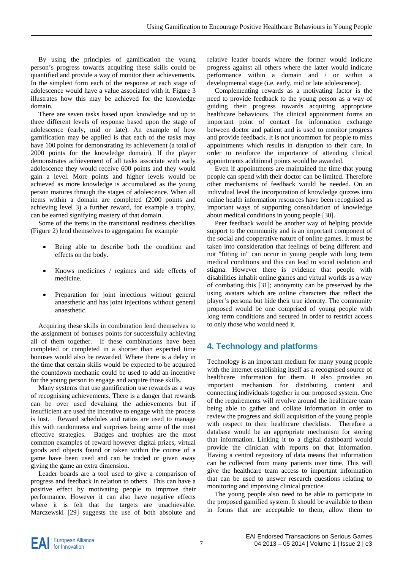By using the principles of gamification the young person's progress towards acquiring these skills could be quantified and provide a way of monitor their achievements. In the simplest form each of the response at each stage of adolescence would have a value associated with it. Figure 3 illustrates how this may be achieved for the knowledge domain.

There are seven tasks based upon knowledge and up to three different levels of response based upon the stage of adolescence (early, mid or late). An example of how gamification may be applied is that each of the tasks may have 100 points for demonstrating its achievement (a total of 2000 points for the knowledge domain). If the player demonstrates achievement of all tasks associate with early adolescence they would receive 600 points and they would gain a level. More points and higher levels would be achieved as more knowledge is accumulated as the young person matures through the stages of adolescence. When all items within a domain are completed (2000 points and achieving level 3) a further reward, for example a trophy, can be earned signifying mastery of that domain.

Some of the items in the transitional readiness checklists (Figure 2) lend themselves to aggregation for example

- Being able to describe both the condition and effects on the body.
- Knows medicines / regimes and side effects of medicine.
- Preparation for joint injections without general anaesthetic and has joint injections without general anaesthetic.

Acquiring these skills in combination lend themselves to the assignment of bonuses points for successfully achieving all of them together. If these combinations have been completed or completed in a shorter than expected time bonuses would also be rewarded. Where there is a delay in the time that certain skills would be expected to be acquired the countdown mechanic could be used to add an incentive for the young person to engage and acquire those skills.

Many systems that use gamification use rewards as a way of recognising achievements. There is a danger that rewards can be over used devaluing the achievements but if insufficient are used the incentive to engage with the process is lost. Reward schedules and ratios are used to manage this with randomness and surprises being some of the most effective strategies. Badges and trophies are the most common examples of reward however digital prizes, virtual goods and objects found or taken within the course of a game have been used and can be traded or given away giving the game an extra dimension.

Leader boards are a tool used to give a comparison of progress and feedback in relation to others. This can have a positive effect by motivating people to improve their performance. However it can also have negative effects where it is felt that the targets are unachievable. Marczewski [29] suggests the use of both absolute and

relative leader boards where the former would indicate progress against all others where the latter would indicate performance within a domain and / or within a developmental stage (i.e. early, mid or late adolescence).

Complementing rewards as a motivating factor is the need to provide feedback to the young person as a way of guiding their progress towards acquiring appropriate healthcare behaviours. The clinical appointment forms an important point of contact for information exchange between doctor and patient and is used to monitor progress and provide feedback. It is not uncommon for people to miss appointments which results in disruption to their care. In order to reinforce the importance of attending clinical appointments additional points would be awarded.

Even if appointments are maintained the time that young people can spend with their doctor can be limited. Therefore other mechanisms of feedback would be needed. On an individual level the incorporation of knowledge quizzes into online health information resources have been recognised as important ways of supporting consolidation of knowledge about medical conditions in young people [30].

Peer feedback would be another way of helping provide support to the community and is an important component of the social and cooperative nature of online games. It must be taken into consideration that feelings of being different and not "fitting in" can occur in young people with long term medical conditions and this can lead to social isolation and stigma. However there is evidence that people with disabilities inhabit online games and virtual worlds as a way of combating this [31]; anonymity can be preserved by the using avatars which are online characters that reflect the player's persona but hide their true identity. The community proposed would be one comprised of young people with long term conditions and secured in order to restrict access to only those who would need it.

# **4. Technology and platforms**

Technology is an important medium for many young people with the internet establishing itself as a recognised source of healthcare information for them. It also provides an important mechanism for distributing content and connecting individuals together in our proposed system. One of the requirements will revolve around the healthcare team being able to gather and collate information in order to review the progress and skill acquisition of the young people with respect to their healthcare checklists. Therefore a database would be an appropriate mechanism for storing that information. Linking it to a digital dashboard would provide the clinician with reports on that information. Having a central repository of data means that information can be collected from many patients over time. This will give the healthcare team access to important information that can be used to answer research questions relating to monitoring and improving clinical practice.

The young people also need to be able to participate in the proposed gamified system. It should be available to them in forms that are acceptable to them, allow them to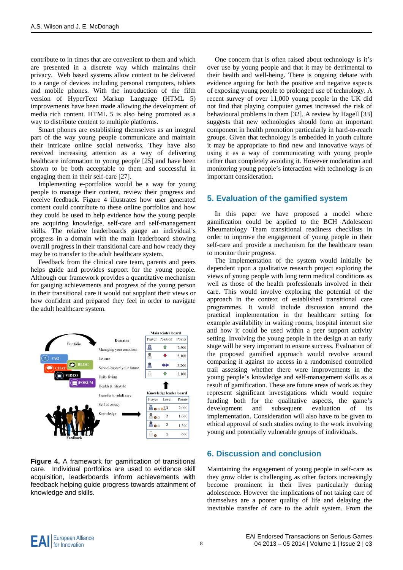contribute to in times that are convenient to them and which are presented in a discrete way which maintains their privacy. Web based systems allow content to be delivered to a range of devices including personal computers, tablets and mobile phones. With the introduction of the fifth version of HyperText Markup Language (HTML 5) improvements have been made allowing the development of media rich content. HTML 5 is also being promoted as a way to distribute content to multiple platforms.

Smart phones are establishing themselves as an integral part of the way young people communicate and maintain their intricate online social networks. They have also received increasing attention as a way of delivering healthcare information to young people [25] and have been shown to be both acceptable to them and successful in engaging them in their self-care [27].

Implementing e-portfolios would be a way for young people to manage their content, review their progress and receive feedback. Figure 4 illustrates how user generated content could contribute to these online portfolios and how they could be used to help evidence how the young people are acquiring knowledge, self-care and self-management skills. The relative leaderboards gauge an individual's progress in a domain with the main leaderboard showing overall progress in their transitional care and how ready they may be to transfer to the adult healthcare system.

Feedback from the clinical care team, parents and peers helps guide and provides support for the young people. Although our framework provides a quantitative mechanism for gauging achievements and progress of the young person in their transitional care it would not supplant their views or how confident and prepared they feel in order to navigate the adult healthcare system.



**Figure 4.** A framework for gamification of transitional care. Individual portfolios are used to evidence skill acquisition, leaderboards inform achievements with feedback helping guide progress towards attainment of knowledge and skills.

One concern that is often raised about technology is it's over use by young people and that it may be detrimental to their health and well-being. There is ongoing debate with evidence arguing for both the positive and negative aspects of exposing young people to prolonged use of technology. A recent survey of over 11,000 young people in the UK did not find that playing computer games increased the risk of behavioural problems in them [32]. A review by Hagell [33] suggests that new technologies should form an important component in health promotion particularly in hard-to-reach groups. Given that technology is embedded in youth culture it may be appropriate to find new and innovative ways of using it as a way of communicating with young people rather than completely avoiding it. However moderation and monitoring young people's interaction with technology is an important consideration.

# **5. Evaluation of the gamified system**

In this paper we have proposed a model where gamification could be applied to the BCH Adolescent Rheumatology Team transitional readiness checklists in order to improve the engagement of young people in their self-care and provide a mechanism for the healthcare team to monitor their progress.

The implementation of the system would initially be dependent upon a qualitative research project exploring the views of young people with long term medical conditions as well as those of the health professionals involved in their care. This would involve exploring the potential of the approach in the context of established transitional care programmes. It would include discussion around the practical implementation in the healthcare setting for example availability in waiting rooms, hospital internet site and how it could be used within a peer support activity setting. Involving the young people in the design at an early stage will be very important to ensure success. Evaluation of the proposed gamified approach would revolve around comparing it against no access in a randomised controlled trail assessing whether there were improvements in the young people's knowledge and self-management skills as a result of gamification. These are future areas of work as they represent significant investigations which would require funding both for the qualitative aspects, the game's development and subsequent evaluation of its implementation. Consideration will also have to be given to ethical approval of such studies owing to the work involving young and potentially vulnerable groups of individuals.

## **6. Discussion and conclusion**

Maintaining the engagement of young people in self-care as they grow older is challenging as other factors increasingly become prominent in their lives particularly during adolescence. However the implications of not taking care of themselves are a poorer quality of life and delaying the inevitable transfer of care to the adult system. From the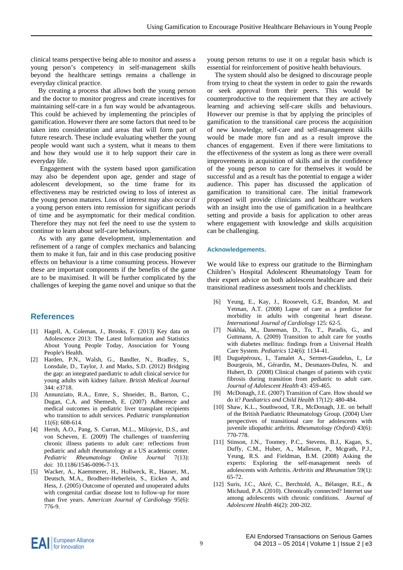clinical teams perspective being able to monitor and assess a young person's competency in self-management skills beyond the healthcare settings remains a challenge in everyday clinical practice.

By creating a process that allows both the young person and the doctor to monitor progress and create incentives for maintaining self-care in a fun way would be advantageous. This could be achieved by implementing the principles of gamification. However there are some factors that need to be taken into consideration and areas that will form part of future research. These include evaluating whether the young people would want such a system, what it means to them and how they would use it to help support their care in everyday life.

 Engagement with the system based upon gamification may also be dependent upon age, gender and stage of adolescent development, so the time frame for its effectiveness may be restricted owing to loss of interest as the young person matures. Loss of interest may also occur if a young person enters into remission for significant periods of time and be asymptomatic for their medical condition. Therefore they may not feel the need to use the system to continue to learn about self-care behaviours.

As with any game development, implementation and refinement of a range of complex mechanics and balancing them to make it fun, fair and in this case producing positive effects on behaviour is a time consuming process. However these are important components if the benefits of the game are to be maximised. It will be further complicated by the challenges of keeping the game novel and unique so that the

### **References**

- [1] Hagell, A, Coleman, J., Brooks, F. (2013) Key data on Adolescence 2013: The Latest Information and Statistics About Young People Today, Association for Young People's Health.
- [2] Harden, P.N., Walsh, G., Bandler, N., Bradley, S., Lonsdale, D., Taylor, J. and Marks, S.D. (2012) Bridging the gap: an integrated paediatric to adult clinical service for young adults with kidney failure. *British Medical Journal* 344: e3718.
- [3] Annunziato, R.A., Emre, S., Shneider, B., Barton, C., Dugan, C.A. and Shemesh, E. (2007) Adherence and medical outcomes in pediatric liver transplant recipients who transition to adult services. *Pediatric transplantation* 11(6): 608-614.
- [4] Hersh, A.O., Pang, S. Curran, M.L., Milojevic, D.S., and von Scheven, E. (2009) The challenges of transferring chronic illness patients to adult care: reflections from pediatric and adult rheumatology at a US academic center. *Pediatric Rheumatology Online Journal* 7(13): doi: 10.1186/1546-0096-7-13.
- [5] Wacker, A., Kaemmerer, H., Hollweck, R., Hauser, M., Deutsch, M.A., Brodherr-Heberlein, S., Eicken A, and Hess, J. (2005) Outcome of operated and unoperated adults with congenital cardiac disease lost to follow-up for more than five years. A*merican Journal of Cardiology* 95(6): 776-9.

young person returns to use it on a regular basis which is essential for reinforcement of positive health behaviours.

The system should also be designed to discourage people from trying to cheat the system in order to gain the rewards or seek approval from their peers. This would be counterproductive to the requirement that they are actively learning and achieving self-care skills and behaviours. However our premise is that by applying the principles of gamification to the transitional care process the acquisition of new knowledge, self-care and self-management skills would be made more fun and as a result improve the chances of engagement. Even if there were limitations to the effectiveness of the system as long as there were overall improvements in acquisition of skills and in the confidence of the young person to care for themselves it would be successful and as a result has the potential to engage a wider audience. This paper has discussed the application of gamification to transitional care. The initial framework proposed will provide clinicians and healthcare workers with an insight into the use of gamification in a healthcare setting and provide a basis for application to other areas where engagement with knowledge and skills acquisition can be challenging.

#### **Acknowledgements.**

We would like to express our gratitude to the Birmingham Children's Hospital Adolescent Rheumatology Team for their expert advice on both adolescent healthcare and their transitional readiness assessment tools and checklists.

- [6] Yeung, E., Kay, J., Roosevelt, G.E, Brandon, M. and Yetman, A.T. (2008) Lapse of care as a predictor for morbidity in adults with congenital heart disease. *International Journal of Cardiology* 125: 62-5.
- [7] Nakhla, M., Daneman, D., To, T., Paradis, G., and Guttmann, A. (2009) Transition to adult care for youths with diabetes mellitus: findings from a Universal Health Care System. *Pediatrics* 124(6): 1134-41.
- [8] Duguépéroux, I., Tamalet A., Sermet-Gaudelus, I., Le Bourgeois, M., Gérardin, M., Desmazes-Dufeu, N. and Hubert, D. (2008) Clinical changes of patients with cystic fibrosis during transition from pediatric to adult care. *Journal of Adolescent Health* 43: 459-465.
- [9] McDonagh, J.E. (2007) Transition of Care. How should we do it? *Paediatrics and Child Health* 17(12): 480-484.
- [10] Shaw, K.L., Southwood, T.R., McDonagh, J.E. on behalf of the British Paediatric Rheumatology Group. (2004) User perspectives of transitional care for adolescents with juvenile idiopathic arthritis. *Rheumatology (Oxford)* 43(6): 770-778.
- [11] Stinson, J.N., Toomey, P.C., Stevens, B.J., Kagan, S., Duffy, C.M., Huber, A., Malleson, P., Mcgrath, P.J., Yeung, R.S. and Fieldman, B.M. (2008) Asking the experts: Exploring the self-management needs of adolescents with Arthritis. *Arthritis and Rheumatism* 59(1): 65-72.
- [12] Suris, J.C., Akré, C., Berchtold, A., Bélanger, R.E., & Michaud, P.A. (2010). Chronically connected? Internet use among adolescents with chronic conditions. *Journal of Adolescent Health* 46(2): 200-202.